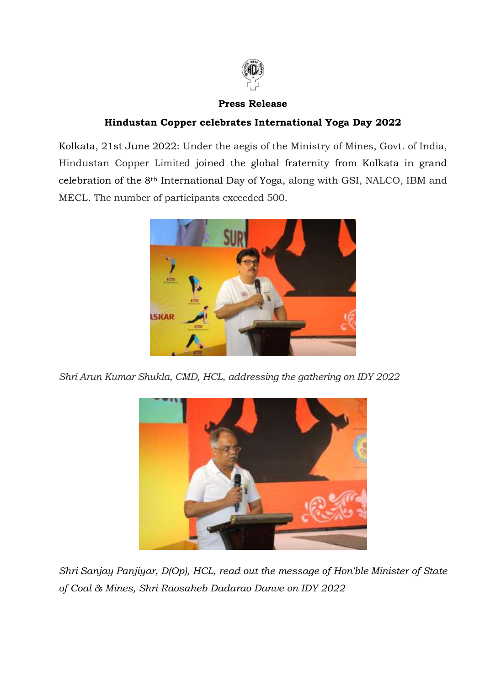

## **Press Release**

## **Hindustan Copper celebrates International Yoga Day 2022**

Kolkata, 21st June 2022: Under the aegis of the Ministry of Mines, Govt. of India, Hindustan Copper Limited joined the global fraternity from Kolkata in grand celebration of the 8th International Day of Yoga, along with GSI, NALCO, IBM and MECL. The number of participants exceeded 500.



*Shri Arun Kumar Shukla, CMD, HCL, addressing the gathering on IDY 2022*



*Shri Sanjay Panjiyar, D(Op), HCL, read out the message of Hon'ble Minister of State of Coal & Mines, Shri Raosaheb Dadarao Danve on IDY 2022*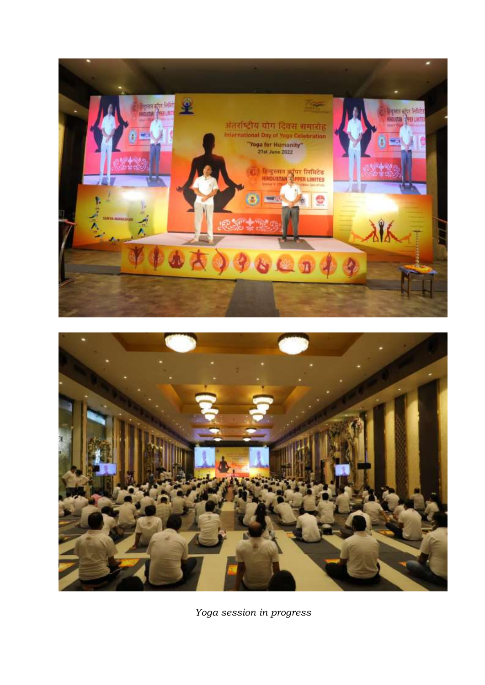



*Yoga session in progress*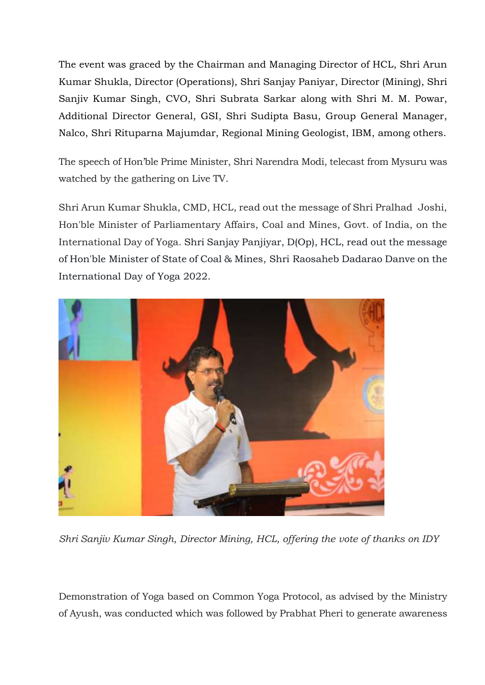The event was graced by the Chairman and Managing Director of HCL, Shri Arun Kumar Shukla, Director (Operations), Shri Sanjay Paniyar, Director (Mining), Shri Sanjiv Kumar Singh, CVO, Shri Subrata Sarkar along with Shri M. M. Powar, Additional Director General, GSI, Shri Sudipta Basu, Group General Manager, Nalco, Shri Rituparna Majumdar, Regional Mining Geologist, IBM, among others.

The speech of Hon'ble Prime Minister, Shri Narendra Modi, telecast from Mysuru was watched by the gathering on Live TV.

Shri Arun Kumar Shukla, CMD, HCL, read out the message of Shri Pralhad Joshi, Hon'ble Minister of Parliamentary Affairs, Coal and Mines, Govt. of India, on the International Day of Yoga. Shri Sanjay Panjiyar, D(Op), HCL, read out the message of Hon'ble Minister of State of Coal & Mines, Shri Raosaheb Dadarao Danve on the International Day of Yoga 2022.



*Shri Sanjiv Kumar Singh, Director Mining, HCL, offering the vote of thanks on IDY*

Demonstration of Yoga based on Common Yoga Protocol, as advised by the Ministry of Ayush, was conducted which was followed by Prabhat Pheri to generate awareness